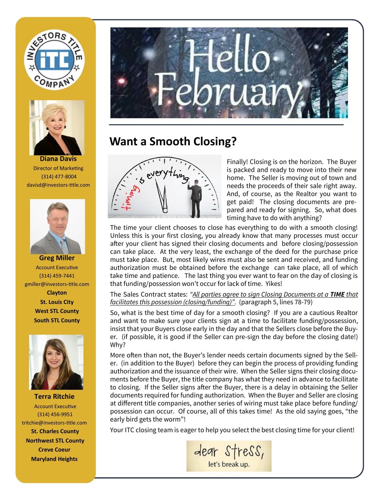



**Diana Davis**  Director of Marketing (314) 477-8004 davisd@investors-title.com



**Greg Miller**  Account Executive (314) 459-7441 gmiller@investors-title.com **Clayton St. Louis City West STL County South STL County**



**Terra Ritchie** Account Executive (314) 456-9951 tritchie@investors-title.com **St. Charles County Northwest STL County Creve Coeur Maryland Heights**



# **Want a Smooth Closing?**



Finally! Closing is on the horizon. The Buyer is packed and ready to move into their new home. The Seller is moving out of town and needs the proceeds of their sale right away. And, of course, as the Realtor you want to get paid! The closing documents are prepared and ready for signing. So, what does timing have to do with anything?

The time your client chooses to close has everything to do with a smooth closing! Unless this is your first closing, you already know that many processes must occur after your client has signed their closing documents and before closing/possession can take place. At the very least, the exchange of the deed for the purchase price must take place. But, most likely wires must also be sent and received, and funding authorization must be obtained before the exchange can take place, all of which take time and patience. The last thing you ever want to fear on the day of closing is that funding/possession won't occur for lack of time. Yikes!

The Sales Contract states: *"All parties agree to sign Closing Documents at a TIME that facilitates this possession (closing/funding)".* (paragraph 5, lines 78-79)

So, what is the best time of day for a smooth closing? If you are a cautious Realtor and want to make sure your clients sign at a time to facilitate funding/possession, insist that your Buyers close early in the day and that the Sellers close before the Buyer. (if possible, it is good if the Seller can pre-sign the day before the closing date!) Why?

More often than not, the Buyer's lender needs certain documents signed by the Seller. (in addition to the Buyer) before they can begin the process of providing funding authorization and the issuance of their wire. When the Seller signs their closing documents before the Buyer, the title company has what they need in advance to facilitate to closing. If the Seller signs after the Buyer, there is a delay in obtaining the Seller documents required for funding authorization. When the Buyer and Seller are closing at different title companies, another series of wiring must take place before funding/ possession can occur. Of course, all of this takes time! As the old saying goes, "the early bird gets the worm"!

Your ITC closing team is eager to help you select the best closing time for your client!

dear Stress, let's break up.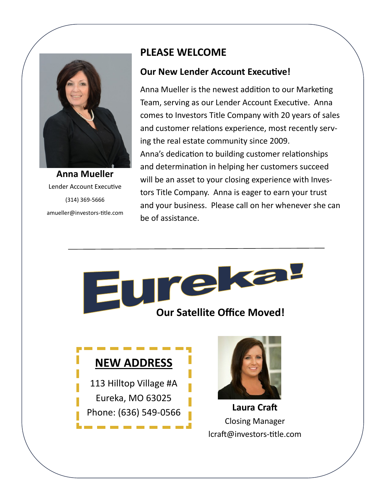

**Anna Mueller** Lender Account Executive (314) 369-5666 amueller@investors-title.com

# **PLEASE WELCOME**

# **Our New Lender Account Executive!**

Anna Mueller is the newest addition to our Marketing Team, serving as our Lender Account Executive. Anna comes to Investors Title Company with 20 years of sales and customer relations experience, most recently serving the real estate community since 2009. Anna's dedication to building customer relationships and determination in helping her customers succeed will be an asset to your closing experience with Investors Title Company. Anna is eager to earn your trust and your business. Please call on her whenever she can be of assistance.